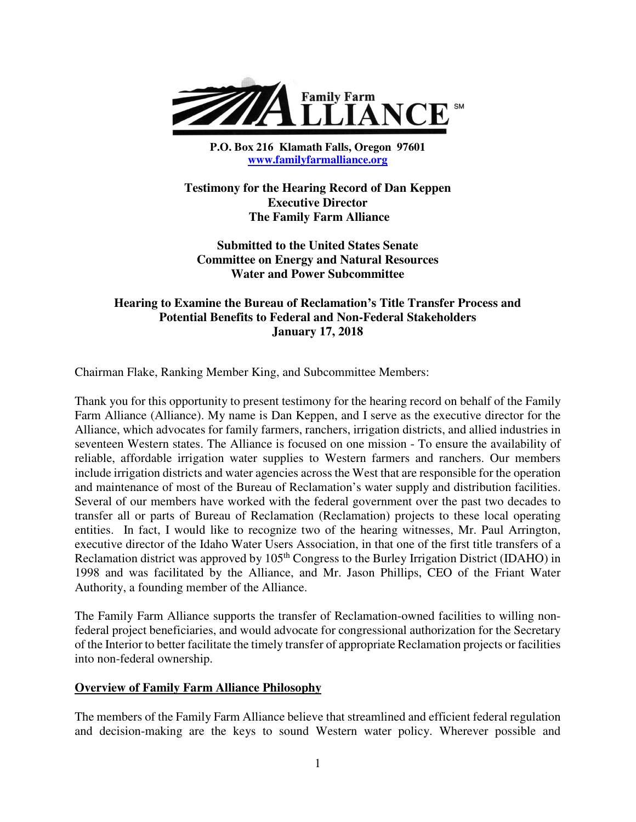

**P.O. Box 216 Klamath Falls, Oregon 97601 www.familyfarmalliance.org** 

**Testimony for the Hearing Record of Dan Keppen Executive Director The Family Farm Alliance** 

**Submitted to the United States Senate Committee on Energy and Natural Resources Water and Power Subcommittee** 

# **Hearing to Examine the Bureau of Reclamation's Title Transfer Process and Potential Benefits to Federal and Non-Federal Stakeholders January 17, 2018**

Chairman Flake, Ranking Member King, and Subcommittee Members:

Thank you for this opportunity to present testimony for the hearing record on behalf of the Family Farm Alliance (Alliance). My name is Dan Keppen, and I serve as the executive director for the Alliance, which advocates for family farmers, ranchers, irrigation districts, and allied industries in seventeen Western states. The Alliance is focused on one mission - To ensure the availability of reliable, affordable irrigation water supplies to Western farmers and ranchers. Our members include irrigation districts and water agencies across the West that are responsible for the operation and maintenance of most of the Bureau of Reclamation's water supply and distribution facilities. Several of our members have worked with the federal government over the past two decades to transfer all or parts of Bureau of Reclamation (Reclamation) projects to these local operating entities. In fact, I would like to recognize two of the hearing witnesses, Mr. Paul Arrington, executive director of the Idaho Water Users Association, in that one of the first title transfers of a Reclamation district was approved by 105<sup>th</sup> Congress to the Burley Irrigation District (IDAHO) in 1998 and was facilitated by the Alliance, and Mr. Jason Phillips, CEO of the Friant Water Authority, a founding member of the Alliance.

The Family Farm Alliance supports the transfer of Reclamation-owned facilities to willing nonfederal project beneficiaries, and would advocate for congressional authorization for the Secretary of the Interior to better facilitate the timely transfer of appropriate Reclamation projects or facilities into non-federal ownership.

#### **Overview of Family Farm Alliance Philosophy**

The members of the Family Farm Alliance believe that streamlined and efficient federal regulation and decision-making are the keys to sound Western water policy. Wherever possible and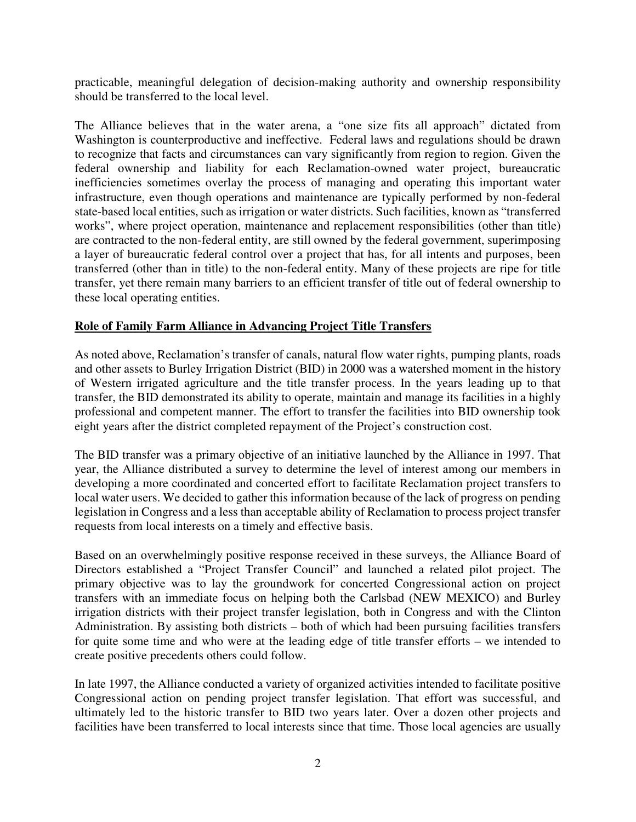practicable, meaningful delegation of decision-making authority and ownership responsibility should be transferred to the local level.

The Alliance believes that in the water arena, a "one size fits all approach" dictated from Washington is counterproductive and ineffective. Federal laws and regulations should be drawn to recognize that facts and circumstances can vary significantly from region to region. Given the federal ownership and liability for each Reclamation-owned water project, bureaucratic inefficiencies sometimes overlay the process of managing and operating this important water infrastructure, even though operations and maintenance are typically performed by non-federal state-based local entities, such as irrigation or water districts. Such facilities, known as "transferred works", where project operation, maintenance and replacement responsibilities (other than title) are contracted to the non-federal entity, are still owned by the federal government, superimposing a layer of bureaucratic federal control over a project that has, for all intents and purposes, been transferred (other than in title) to the non-federal entity. Many of these projects are ripe for title transfer, yet there remain many barriers to an efficient transfer of title out of federal ownership to these local operating entities.

# **Role of Family Farm Alliance in Advancing Project Title Transfers**

As noted above, Reclamation's transfer of canals, natural flow water rights, pumping plants, roads and other assets to Burley Irrigation District (BID) in 2000 was a watershed moment in the history of Western irrigated agriculture and the title transfer process. In the years leading up to that transfer, the BID demonstrated its ability to operate, maintain and manage its facilities in a highly professional and competent manner. The effort to transfer the facilities into BID ownership took eight years after the district completed repayment of the Project's construction cost.

The BID transfer was a primary objective of an initiative launched by the Alliance in 1997. That year, the Alliance distributed a survey to determine the level of interest among our members in developing a more coordinated and concerted effort to facilitate Reclamation project transfers to local water users. We decided to gather this information because of the lack of progress on pending legislation in Congress and a less than acceptable ability of Reclamation to process project transfer requests from local interests on a timely and effective basis.

Based on an overwhelmingly positive response received in these surveys, the Alliance Board of Directors established a "Project Transfer Council" and launched a related pilot project. The primary objective was to lay the groundwork for concerted Congressional action on project transfers with an immediate focus on helping both the Carlsbad (NEW MEXICO) and Burley irrigation districts with their project transfer legislation, both in Congress and with the Clinton Administration. By assisting both districts – both of which had been pursuing facilities transfers for quite some time and who were at the leading edge of title transfer efforts – we intended to create positive precedents others could follow.

In late 1997, the Alliance conducted a variety of organized activities intended to facilitate positive Congressional action on pending project transfer legislation. That effort was successful, and ultimately led to the historic transfer to BID two years later. Over a dozen other projects and facilities have been transferred to local interests since that time. Those local agencies are usually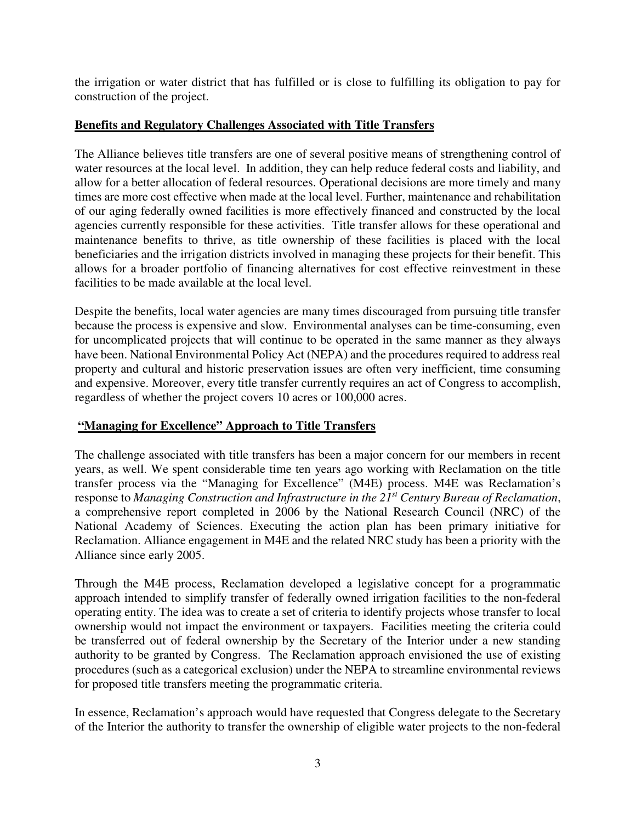the irrigation or water district that has fulfilled or is close to fulfilling its obligation to pay for construction of the project.

## **Benefits and Regulatory Challenges Associated with Title Transfers**

The Alliance believes title transfers are one of several positive means of strengthening control of water resources at the local level. In addition, they can help reduce federal costs and liability, and allow for a better allocation of federal resources. Operational decisions are more timely and many times are more cost effective when made at the local level. Further, maintenance and rehabilitation of our aging federally owned facilities is more effectively financed and constructed by the local agencies currently responsible for these activities. Title transfer allows for these operational and maintenance benefits to thrive, as title ownership of these facilities is placed with the local beneficiaries and the irrigation districts involved in managing these projects for their benefit. This allows for a broader portfolio of financing alternatives for cost effective reinvestment in these facilities to be made available at the local level.

Despite the benefits, local water agencies are many times discouraged from pursuing title transfer because the process is expensive and slow. Environmental analyses can be time-consuming, even for uncomplicated projects that will continue to be operated in the same manner as they always have been. National Environmental Policy Act (NEPA) and the procedures required to address real property and cultural and historic preservation issues are often very inefficient, time consuming and expensive. Moreover, every title transfer currently requires an act of Congress to accomplish, regardless of whether the project covers 10 acres or 100,000 acres.

# **"Managing for Excellence" Approach to Title Transfers**

The challenge associated with title transfers has been a major concern for our members in recent years, as well. We spent considerable time ten years ago working with Reclamation on the title transfer process via the "Managing for Excellence" (M4E) process. M4E was Reclamation's response to *Managing Construction and Infrastructure in the 21st Century Bureau of Reclamation*, a comprehensive report completed in 2006 by the National Research Council (NRC) of the National Academy of Sciences. Executing the action plan has been primary initiative for Reclamation. Alliance engagement in M4E and the related NRC study has been a priority with the Alliance since early 2005.

Through the M4E process, Reclamation developed a legislative concept for a programmatic approach intended to simplify transfer of federally owned irrigation facilities to the non-federal operating entity. The idea was to create a set of criteria to identify projects whose transfer to local ownership would not impact the environment or taxpayers. Facilities meeting the criteria could be transferred out of federal ownership by the Secretary of the Interior under a new standing authority to be granted by Congress. The Reclamation approach envisioned the use of existing procedures (such as a categorical exclusion) under the NEPA to streamline environmental reviews for proposed title transfers meeting the programmatic criteria.

In essence, Reclamation's approach would have requested that Congress delegate to the Secretary of the Interior the authority to transfer the ownership of eligible water projects to the non-federal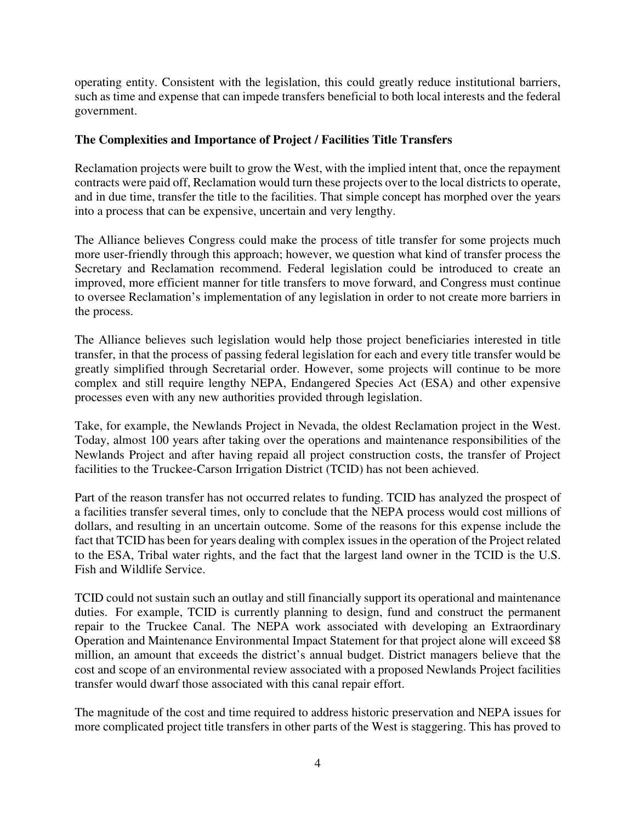operating entity. Consistent with the legislation, this could greatly reduce institutional barriers, such as time and expense that can impede transfers beneficial to both local interests and the federal government.

## **The Complexities and Importance of Project / Facilities Title Transfers**

Reclamation projects were built to grow the West, with the implied intent that, once the repayment contracts were paid off, Reclamation would turn these projects over to the local districts to operate, and in due time, transfer the title to the facilities. That simple concept has morphed over the years into a process that can be expensive, uncertain and very lengthy.

The Alliance believes Congress could make the process of title transfer for some projects much more user-friendly through this approach; however, we question what kind of transfer process the Secretary and Reclamation recommend. Federal legislation could be introduced to create an improved, more efficient manner for title transfers to move forward, and Congress must continue to oversee Reclamation's implementation of any legislation in order to not create more barriers in the process.

The Alliance believes such legislation would help those project beneficiaries interested in title transfer, in that the process of passing federal legislation for each and every title transfer would be greatly simplified through Secretarial order. However, some projects will continue to be more complex and still require lengthy NEPA, Endangered Species Act (ESA) and other expensive processes even with any new authorities provided through legislation.

Take, for example, the Newlands Project in Nevada, the oldest Reclamation project in the West. Today, almost 100 years after taking over the operations and maintenance responsibilities of the Newlands Project and after having repaid all project construction costs, the transfer of Project facilities to the Truckee-Carson Irrigation District (TCID) has not been achieved.

Part of the reason transfer has not occurred relates to funding. TCID has analyzed the prospect of a facilities transfer several times, only to conclude that the NEPA process would cost millions of dollars, and resulting in an uncertain outcome. Some of the reasons for this expense include the fact that TCID has been for years dealing with complex issues in the operation of the Project related to the ESA, Tribal water rights, and the fact that the largest land owner in the TCID is the U.S. Fish and Wildlife Service.

TCID could not sustain such an outlay and still financially support its operational and maintenance duties. For example, TCID is currently planning to design, fund and construct the permanent repair to the Truckee Canal. The NEPA work associated with developing an Extraordinary Operation and Maintenance Environmental Impact Statement for that project alone will exceed \$8 million, an amount that exceeds the district's annual budget. District managers believe that the cost and scope of an environmental review associated with a proposed Newlands Project facilities transfer would dwarf those associated with this canal repair effort.

The magnitude of the cost and time required to address historic preservation and NEPA issues for more complicated project title transfers in other parts of the West is staggering. This has proved to